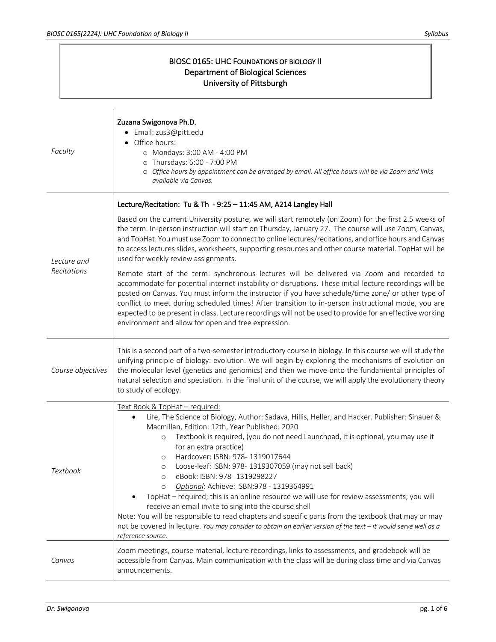$\mathbf{r}$ 

٦

|         | <b>BIOSC 0165: UHC FOUNDATIONS OF BIOLOGY II</b><br>Department of Biological Sciences<br>University of Pittsburgh |                                                                                                                                                                                                                                                                                                                                                                                                                                                                                                                                                                                                                                                                                                                                                                                                                                                                                                                                      |  |
|---------|-------------------------------------------------------------------------------------------------------------------|--------------------------------------------------------------------------------------------------------------------------------------------------------------------------------------------------------------------------------------------------------------------------------------------------------------------------------------------------------------------------------------------------------------------------------------------------------------------------------------------------------------------------------------------------------------------------------------------------------------------------------------------------------------------------------------------------------------------------------------------------------------------------------------------------------------------------------------------------------------------------------------------------------------------------------------|--|
| Faculty |                                                                                                                   | Zuzana Swigonova Ph.D.<br>· Email: zus3@pitt.edu<br>• Office hours:<br>O Mondays: 3:00 AM - 4:00 PM<br>o Thursdays: 6:00 - 7:00 PM<br>O Office hours by appointment can be arranged by email. All office hours will be via Zoom and links<br>available via Canvas.                                                                                                                                                                                                                                                                                                                                                                                                                                                                                                                                                                                                                                                                   |  |
|         | Lecture and<br>Recitations                                                                                        | Lecture/Recitation: Tu & Th - 9:25 - 11:45 AM, A214 Langley Hall<br>Based on the current University posture, we will start remotely (on Zoom) for the first 2.5 weeks of<br>the term. In-person instruction will start on Thursday, January 27. The course will use Zoom, Canvas,<br>and TopHat. You must use Zoom to connect to online lectures/recitations, and office hours and Canvas<br>to access lectures slides, worksheets, supporting resources and other course material. TopHat will be<br>used for weekly review assignments.                                                                                                                                                                                                                                                                                                                                                                                            |  |
|         |                                                                                                                   | Remote start of the term: synchronous lectures will be delivered via Zoom and recorded to<br>accommodate for potential internet instability or disruptions. These initial lecture recordings will be<br>posted on Canvas. You must inform the instructor if you have schedule/time zone/ or other type of<br>conflict to meet during scheduled times! After transition to in-person instructional mode, you are<br>expected to be present in class. Lecture recordings will not be used to provide for an effective working<br>environment and allow for open and free expression.                                                                                                                                                                                                                                                                                                                                                   |  |
|         | Course objectives                                                                                                 | This is a second part of a two-semester introductory course in biology. In this course we will study the<br>unifying principle of biology: evolution. We will begin by exploring the mechanisms of evolution on<br>the molecular level (genetics and genomics) and then we move onto the fundamental principles of<br>natural selection and speciation. In the final unit of the course, we will apply the evolutionary theory<br>to study of ecology.                                                                                                                                                                                                                                                                                                                                                                                                                                                                               |  |
|         | <b>Textbook</b>                                                                                                   | Text Book & TopHat - required:<br>Life, The Science of Biology, Author: Sadava, Hillis, Heller, and Hacker. Publisher: Sinauer &<br>Macmillan, Edition: 12th, Year Published: 2020<br>Textbook is required, (you do not need Launchpad, it is optional, you may use it<br>$\circ$<br>for an extra practice)<br>Hardcover: ISBN: 978- 1319017644<br>$\circ$<br>Loose-leaf: ISBN: 978-1319307059 (may not sell back)<br>$\circ$<br>eBook: ISBN: 978-1319298227<br>$\circ$<br>Optional: Achieve: ISBN:978 - 1319364991<br>$\circ$<br>TopHat - required; this is an online resource we will use for review assessments; you will<br>receive an email invite to sing into the course shell<br>Note: You will be responsible to read chapters and specific parts from the textbook that may or may<br>not be covered in lecture. You may consider to obtain an earlier version of the text - it would serve well as a<br>reference source. |  |
|         | Canvas                                                                                                            | Zoom meetings, course material, lecture recordings, links to assessments, and gradebook will be<br>accessible from Canvas. Main communication with the class will be during class time and via Canvas<br>announcements.                                                                                                                                                                                                                                                                                                                                                                                                                                                                                                                                                                                                                                                                                                              |  |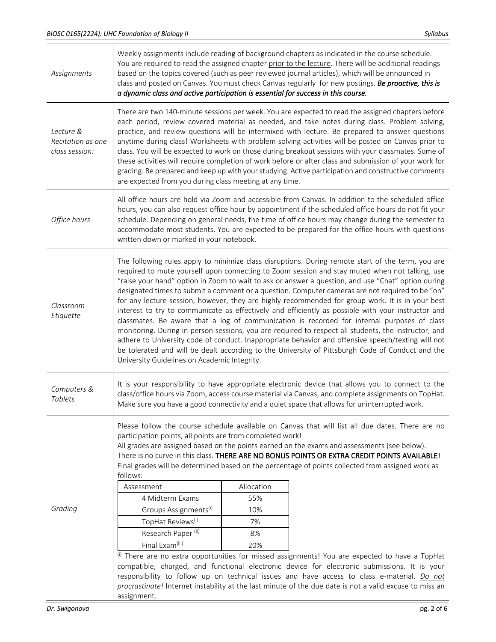| Assignments                                      | Weekly assignments include reading of background chapters as indicated in the course schedule.<br>You are required to read the assigned chapter prior to the lecture. There will be additional readings<br>based on the topics covered (such as peer reviewed journal articles), which will be announced in<br>class and posted on Canvas. You must check Canvas regularly for new postings. Be proactive, this is<br>a dynamic class and active participation is essential for success in this course.                                                                                                                                                                                                                                                                                                                                                                                                                                                                                                                                                                                  |  |                                                                                                                                                                                                        |  |
|--------------------------------------------------|------------------------------------------------------------------------------------------------------------------------------------------------------------------------------------------------------------------------------------------------------------------------------------------------------------------------------------------------------------------------------------------------------------------------------------------------------------------------------------------------------------------------------------------------------------------------------------------------------------------------------------------------------------------------------------------------------------------------------------------------------------------------------------------------------------------------------------------------------------------------------------------------------------------------------------------------------------------------------------------------------------------------------------------------------------------------------------------|--|--------------------------------------------------------------------------------------------------------------------------------------------------------------------------------------------------------|--|
| Lecture &<br>Recitation as one<br>class session: | There are two 140-minute sessions per week. You are expected to read the assigned chapters before<br>each period, review covered material as needed, and take notes during class. Problem solving,<br>practice, and review questions will be intermixed with lecture. Be prepared to answer questions<br>anytime during class! Worksheets with problem solving activities will be posted on Canvas prior to<br>class. You will be expected to work on those during breakout sessions with your classmates. Some of<br>these activities will require completion of work before or after class and submission of your work for<br>grading. Be prepared and keep up with your studying. Active participation and constructive comments<br>are expected from you during class meeting at any time.                                                                                                                                                                                                                                                                                           |  |                                                                                                                                                                                                        |  |
| Office hours                                     | All office hours are hold via Zoom and accessible from Canvas. In addition to the scheduled office<br>hours, you can also request office hour by appointment if the scheduled office hours do not fit your<br>schedule. Depending on general needs, the time of office hours may change during the semester to<br>accommodate most students. You are expected to be prepared for the office hours with questions<br>written down or marked in your notebook.                                                                                                                                                                                                                                                                                                                                                                                                                                                                                                                                                                                                                             |  |                                                                                                                                                                                                        |  |
| Classroom<br>Etiquette                           | The following rules apply to minimize class disruptions. During remote start of the term, you are<br>required to mute yourself upon connecting to Zoom session and stay muted when not talking, use<br>"raise your hand" option in Zoom to wait to ask or answer a question, and use "Chat" option during<br>designated times to submit a comment or a question. Computer cameras are not required to be "on"<br>for any lecture session, however, they are highly recommended for group work. It is in your best<br>interest to try to communicate as effectively and efficiently as possible with your instructor and<br>classmates. Be aware that a log of communication is recorded for internal purposes of class<br>monitoring. During in-person sessions, you are required to respect all students, the instructor, and<br>adhere to University code of conduct. Inappropriate behavior and offensive speech/texting will not<br>be tolerated and will be dealt according to the University of Pittsburgh Code of Conduct and the<br>University Guidelines on Academic Integrity. |  |                                                                                                                                                                                                        |  |
| Computers &<br><b>Tablets</b>                    | It is your responsibility to have appropriate electronic device that allows you to connect to the<br>class/office hours via Zoom, access course material via Canvas, and complete assignments on TopHat.<br>Make sure you have a good connectivity and a quiet space that allows for uninterrupted work.                                                                                                                                                                                                                                                                                                                                                                                                                                                                                                                                                                                                                                                                                                                                                                                 |  |                                                                                                                                                                                                        |  |
| Grading                                          | Please follow the course schedule available on Canvas that will list all due dates. There are no<br>participation points, all points are from completed work!<br>All grades are assigned based on the points earned on the exams and assessments (see below).<br>There is no curve in this class. THERE ARE NO BONUS POINTS OR EXTRA CREDIT POINTS AVAILABLE!<br>Final grades will be determined based on the percentage of points collected from assigned work as<br>follows:<br>Allocation<br>Assessment<br>4 Midterm Exams<br>55%<br>Groups Assignments <sup>(i)</sup><br>10%<br>TopHat Reviews <sup>(i)</sup><br>7%<br>Research Paper <sup>(ii)</sup><br>8%<br>Final Exam <sup>(iii)</sup><br>20%<br>(i) There are no extra opportunities for missed assignments! You are expected to have a TopHat<br>compatible, charged, and functional electronic device for electronic submissions. It is your                                                                                                                                                                                  |  |                                                                                                                                                                                                        |  |
|                                                  | assignment.                                                                                                                                                                                                                                                                                                                                                                                                                                                                                                                                                                                                                                                                                                                                                                                                                                                                                                                                                                                                                                                                              |  | responsibility to follow up on technical issues and have access to class e-material. Do not<br>procrastinate! Internet instability at the last minute of the due date is not a valid excuse to miss an |  |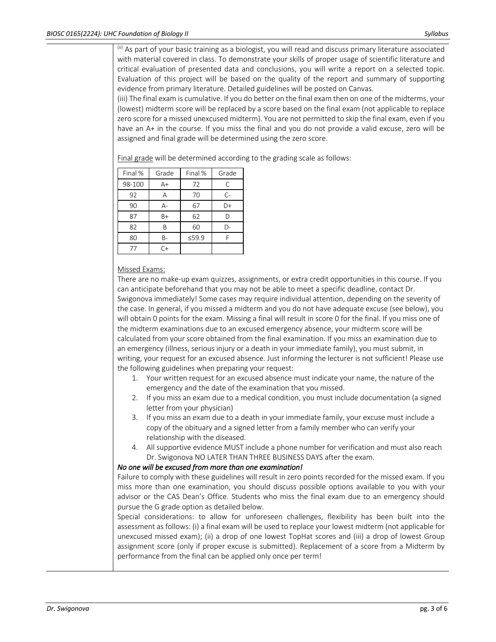(ii) As part of your basic training as a biologist, you will read and discuss primary literature associated with material covered in class. To demonstrate your skills of proper usage of scientific literature and critical evaluation of presented data and conclusions, you will write a report on a selected topic. Evaluation of this project will be based on the quality of the report and summary of supporting evidence from primary literature. Detailed guidelines will be posted on Canvas.

(iii) The final exam is cumulative. If you do better on the final exam then on one of the midterms, your (lowest) midterm score will be replaced by a score based on the final exam (not applicable to replace zero score for a missed unexcused midterm). You are not permitted to skip the final exam, even if you have an A+ in the course. If you miss the final and you do not provide a valid excuse, zero will be assigned and final grade will be determined using the zero score.

Final grade will be determined according to the grading scale as follows:

| Final % | Grade | Final % | Grade |
|---------|-------|---------|-------|
| 98-100  | $A+$  | 72      | C     |
| 92      | A     | 70      | $C-$  |
| 90      | $A -$ | 67      | D+    |
| 87      | $B+$  | 62      | D     |
| 82      | R     | 60      | D-    |
| 80      | B-    | 59.9    | F     |
| 77      | $C+$  |         |       |

## Missed Exams:

There are no make-up exam quizzes, assignments, or extra credit opportunities in this course. If you can anticipate beforehand that you may not be able to meet a specific deadline, contact Dr. Swigonova immediately! Some cases may require individual attention, depending on the severity of the case. In general, if you missed a midterm and you do not have adequate excuse (see below), you will obtain 0 points for the exam. Missing a final will result in score 0 for the final. If you miss one of the midterm examinations due to an excused emergency absence, your midterm score will be calculated from your score obtained from the final examination. If you miss an examination due to an emergency (illness, serious injury or a death in your immediate family), you must submit, in writing, your request for an excused absence. Just informing the lecturer is not sufficient! Please use the following guidelines when preparing your request:

- 1. Your written request for an excused absence must indicate your name, the nature of the emergency and the date of the examination that you missed.
- 2. If you miss an exam due to a medical condition, you must include documentation (a signed letter from your physician)
- 3. If you miss an exam due to a death in your immediate family, your excuse must include a copy of the obituary and a signed letter from a family member who can verify your relationship with the diseased.
- 4. All supportive evidence MUST include a phone number for verification and must also reach Dr. Swigonova NO LATER THAN THREE BUSINESS DAYS after the exam.

## *No one will be excused from more than one examination!*

Failure to comply with these guidelines will result in zero points recorded for the missed exam. If you miss more than one examination, you should discuss possible options available to you with your advisor or the CAS Dean's Office. Students who miss the final exam due to an emergency should pursue the G grade option as detailed below.

Special considerations: to allow for unforeseen challenges, flexibility has been built into the assessment as follows: (i) a final exam will be used to replace your lowest midterm (not applicable for unexcused missed exam); (ii) a drop of one lowest TopHat scores and (iii) a drop of lowest Group assignment score (only if proper excuse is submitted). Replacement of a score from a Midterm by performance from the final can be applied only once per term!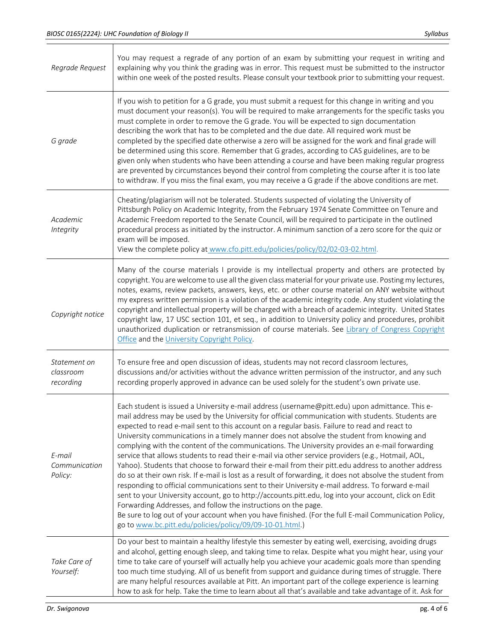┑

| Regrade Request                        | You may request a regrade of any portion of an exam by submitting your request in writing and<br>explaining why you think the grading was in error. This request must be submitted to the instructor<br>within one week of the posted results. Please consult your textbook prior to submitting your request.                                                                                                                                                                                                                                                                                                                                                                                                                                                                                                                                                                                                                                                                                                                                                                                                                                                                                                                                                                        |
|----------------------------------------|--------------------------------------------------------------------------------------------------------------------------------------------------------------------------------------------------------------------------------------------------------------------------------------------------------------------------------------------------------------------------------------------------------------------------------------------------------------------------------------------------------------------------------------------------------------------------------------------------------------------------------------------------------------------------------------------------------------------------------------------------------------------------------------------------------------------------------------------------------------------------------------------------------------------------------------------------------------------------------------------------------------------------------------------------------------------------------------------------------------------------------------------------------------------------------------------------------------------------------------------------------------------------------------|
| G grade                                | If you wish to petition for a G grade, you must submit a request for this change in writing and you<br>must document your reason(s). You will be required to make arrangements for the specific tasks you<br>must complete in order to remove the G grade. You will be expected to sign documentation<br>describing the work that has to be completed and the due date. All required work must be<br>completed by the specified date otherwise a zero will be assigned for the work and final grade will<br>be determined using this score. Remember that G grades, according to CAS guidelines, are to be<br>given only when students who have been attending a course and have been making regular progress<br>are prevented by circumstances beyond their control from completing the course after it is too late<br>to withdraw. If you miss the final exam, you may receive a G grade if the above conditions are met.                                                                                                                                                                                                                                                                                                                                                          |
| Academic<br>Integrity                  | Cheating/plagiarism will not be tolerated. Students suspected of violating the University of<br>Pittsburgh Policy on Academic Integrity, from the February 1974 Senate Committee on Tenure and<br>Academic Freedom reported to the Senate Council, will be required to participate in the outlined<br>procedural process as initiated by the instructor. A minimum sanction of a zero score for the quiz or<br>exam will be imposed.<br>View the complete policy at www.cfo.pitt.edu/policies/policy/02/02-03-02.html.                                                                                                                                                                                                                                                                                                                                                                                                                                                                                                                                                                                                                                                                                                                                                               |
| Copyright notice                       | Many of the course materials I provide is my intellectual property and others are protected by<br>copyright. You are welcome to use all the given class material for your private use. Posting my lectures,<br>notes, exams, review packets, answers, keys, etc. or other course material on ANY website without<br>my express written permission is a violation of the academic integrity code. Any student violating the<br>copyright and intellectual property will be charged with a breach of academic integrity. United States<br>copyright law, 17 USC section 101, et seq., in addition to University policy and procedures, prohibit<br>unauthorized duplication or retransmission of course materials. See Library of Congress Copyright<br>Office and the University Copyright Policy.                                                                                                                                                                                                                                                                                                                                                                                                                                                                                    |
| Statement on<br>classroom<br>recording | To ensure free and open discussion of ideas, students may not record classroom lectures,<br>discussions and/or activities without the advance written permission of the instructor, and any such<br>recording properly approved in advance can be used solely for the student's own private use.                                                                                                                                                                                                                                                                                                                                                                                                                                                                                                                                                                                                                                                                                                                                                                                                                                                                                                                                                                                     |
| E-mail<br>Communication<br>Policy:     | Each student is issued a University e-mail address (username@pitt.edu) upon admittance. This e-<br>mail address may be used by the University for official communication with students. Students are<br>expected to read e-mail sent to this account on a regular basis. Failure to read and react to<br>University communications in a timely manner does not absolve the student from knowing and<br>complying with the content of the communications. The University provides an e-mail forwarding<br>service that allows students to read their e-mail via other service providers (e.g., Hotmail, AOL,<br>Yahoo). Students that choose to forward their e-mail from their pitt.edu address to another address<br>do so at their own risk. If e-mail is lost as a result of forwarding, it does not absolve the student from<br>responding to official communications sent to their University e-mail address. To forward e-mail<br>sent to your University account, go to http://accounts.pitt.edu, log into your account, click on Edit<br>Forwarding Addresses, and follow the instructions on the page.<br>Be sure to log out of your account when you have finished. (For the full E-mail Communication Policy,<br>go to www.bc.pitt.edu/policies/policy/09/09-10-01.html.) |
| Take Care of<br>Yourself:              | Do your best to maintain a healthy lifestyle this semester by eating well, exercising, avoiding drugs<br>and alcohol, getting enough sleep, and taking time to relax. Despite what you might hear, using your<br>time to take care of yourself will actually help you achieve your academic goals more than spending<br>too much time studying. All of us benefit from support and guidance during times of struggle. There<br>are many helpful resources available at Pitt. An important part of the college experience is learning<br>how to ask for help. Take the time to learn about all that's available and take advantage of it. Ask for                                                                                                                                                                                                                                                                                                                                                                                                                                                                                                                                                                                                                                     |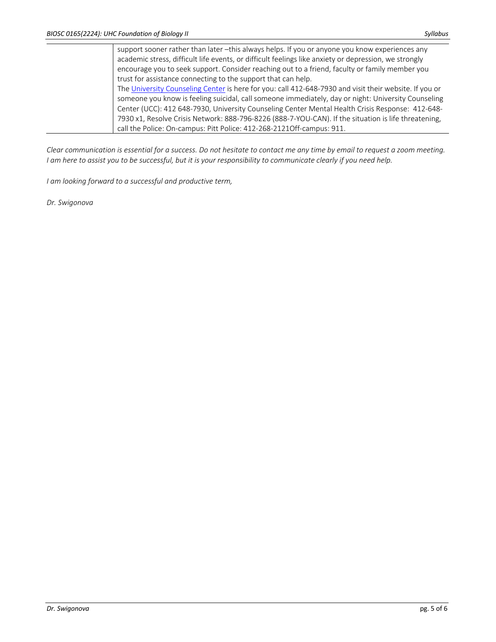support sooner rather than later -this always helps. If you or anyone you know experiences any academic stress, difficult life events, or difficult feelings like anxiety or depression, we strongly encourage you to seek support. Consider reaching out to a friend, faculty or family member you trust for assistance connecting to the support that can help. The University Counseling Center is here for you: call 412-648-7930 and visit their website. If you or someone you know is feeling suicidal, call someone immediately, day or night: University Counseling Center (UCC): 412 648-7930, University Counseling Center Mental Health Crisis Response: 412-648- 7930 x1, Resolve Crisis Network: 888-796-8226 (888-7-YOU-CAN). If the situation is life threatening, call the Police: On-campus: Pitt Police: 412-268-2121Off-campus: 911.

*Clear communication is essential for a success. Do not hesitate to contact me any time by email to request a zoom meeting. I am here to assist you to be successful, but it is your responsibility to communicate clearly if you need help.*

*I am looking forward to a successful and productive term,*

*Dr. Swigonova*